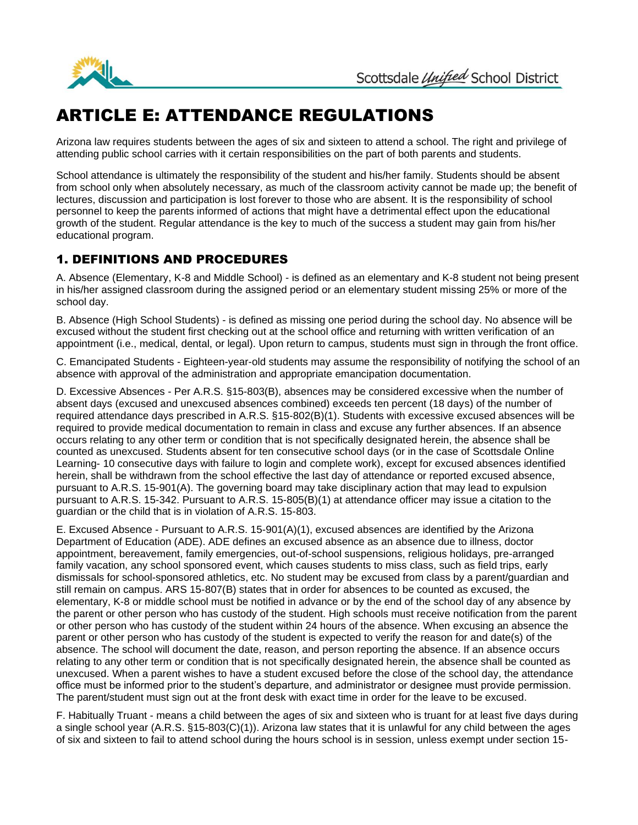

## ARTICLE E: ATTENDANCE REGULATIONS

Arizona law requires students between the ages of six and sixteen to attend a school. The right and privilege of attending public school carries with it certain responsibilities on the part of both parents and students.

School attendance is ultimately the responsibility of the student and his/her family. Students should be absent from school only when absolutely necessary, as much of the classroom activity cannot be made up; the benefit of lectures, discussion and participation is lost forever to those who are absent. It is the responsibility of school personnel to keep the parents informed of actions that might have a detrimental effect upon the educational growth of the student. Regular attendance is the key to much of the success a student may gain from his/her educational program.

## 1. DEFINITIONS AND PROCEDURES

A. Absence (Elementary, K-8 and Middle School) - is defined as an elementary and K-8 student not being present in his/her assigned classroom during the assigned period or an elementary student missing 25% or more of the school day.

B. Absence (High School Students) - is defined as missing one period during the school day. No absence will be excused without the student first checking out at the school office and returning with written verification of an appointment (i.e., medical, dental, or legal). Upon return to campus, students must sign in through the front office.

C. Emancipated Students - Eighteen-year-old students may assume the responsibility of notifying the school of an absence with approval of the administration and appropriate emancipation documentation.

D. Excessive Absences - Per A.R.S. §15-803(B), absences may be considered excessive when the number of absent days (excused and unexcused absences combined) exceeds ten percent (18 days) of the number of required attendance days prescribed in A.R.S. §15-802(B)(1). Students with excessive excused absences will be required to provide medical documentation to remain in class and excuse any further absences. If an absence occurs relating to any other term or condition that is not specifically designated herein, the absence shall be counted as unexcused. Students absent for ten consecutive school days (or in the case of Scottsdale Online Learning- 10 consecutive days with failure to login and complete work), except for excused absences identified herein, shall be withdrawn from the school effective the last day of attendance or reported excused absence, pursuant to A.R.S. 15-901(A). The governing board may take disciplinary action that may lead to expulsion pursuant to A.R.S. 15-342. Pursuant to A.R.S. 15-805(B)(1) at attendance officer may issue a citation to the guardian or the child that is in violation of A.R.S. 15-803.

E. Excused Absence - Pursuant to A.R.S. 15-901(A)(1), excused absences are identified by the Arizona Department of Education (ADE). ADE defines an excused absence as an absence due to illness, doctor appointment, bereavement, family emergencies, out-of-school suspensions, religious holidays, pre-arranged family vacation, any school sponsored event, which causes students to miss class, such as field trips, early dismissals for school-sponsored athletics, etc. No student may be excused from class by a parent/guardian and still remain on campus. ARS 15-807(B) states that in order for absences to be counted as excused, the elementary, K-8 or middle school must be notified in advance or by the end of the school day of any absence by the parent or other person who has custody of the student. High schools must receive notification from the parent or other person who has custody of the student within 24 hours of the absence. When excusing an absence the parent or other person who has custody of the student is expected to verify the reason for and date(s) of the absence. The school will document the date, reason, and person reporting the absence. If an absence occurs relating to any other term or condition that is not specifically designated herein, the absence shall be counted as unexcused. When a parent wishes to have a student excused before the close of the school day, the attendance office must be informed prior to the student's departure, and administrator or designee must provide permission. The parent/student must sign out at the front desk with exact time in order for the leave to be excused.

F. Habitually Truant - means a child between the ages of six and sixteen who is truant for at least five days during a single school year (A.R.S. §15-803(C)(1)). Arizona law states that it is unlawful for any child between the ages of six and sixteen to fail to attend school during the hours school is in session, unless exempt under section 15-